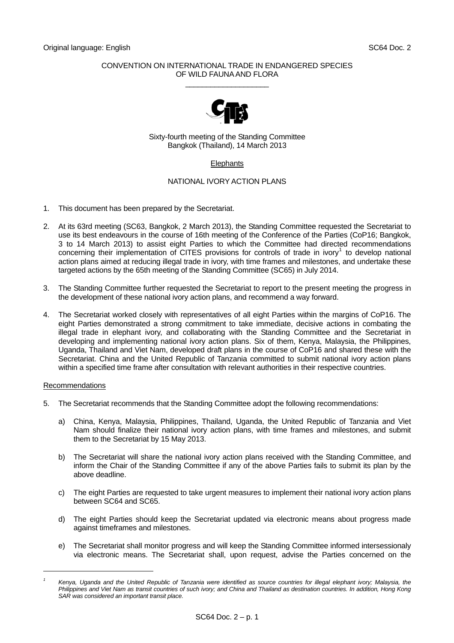## CONVENTION ON INTERNATIONAL TRADE IN ENDANGERED SPECIES OF WILD FAUNA AND FLORA  $\_$



Sixty-fourth meeting of the Standing Committee Bangkok (Thailand), 14 March 2013

## **Elephants**

## NATIONAL IVORY ACTION PLANS

- 1. This document has been prepared by the Secretariat.
- 2. At its 63rd meeting (SC63, Bangkok, 2 March 2013), the Standing Committee requested the Secretariat to use its best endeavours in the course of 16th meeting of the Conference of the Parties (CoP16; Bangkok, 3 to 14 March 2013) to assist eight Parties to which the Committee had directed recommendations concerning their implementation of CITES provisions for controls of trade in ivory<sup>[1](#page-0-0)</sup> to develop national action plans aimed at reducing illegal trade in ivory, with time frames and milestones, and undertake these targeted actions by the 65th meeting of the Standing Committee (SC65) in July 2014.
- 3. The Standing Committee further requested the Secretariat to report to the present meeting the progress in the development of these national ivory action plans, and recommend a way forward.
- 4. The Secretariat worked closely with representatives of all eight Parties within the margins of CoP16. The eight Parties demonstrated a strong commitment to take immediate, decisive actions in combating the illegal trade in elephant ivory, and collaborating with the Standing Committee and the Secretariat in developing and implementing national ivory action plans. Six of them, Kenya, Malaysia, the Philippines, Uganda, Thailand and Viet Nam, developed draft plans in the course of CoP16 and shared these with the Secretariat. China and the United Republic of Tanzania committed to submit national ivory action plans within a specified time frame after consultation with relevant authorities in their respective countries.

## Recommendations

l

- 5. The Secretariat recommends that the Standing Committee adopt the following recommendations:
	- a) China, Kenya, Malaysia, Philippines, Thailand, Uganda, the United Republic of Tanzania and Viet Nam should finalize their national ivory action plans, with time frames and milestones, and submit them to the Secretariat by 15 May 2013.
	- b) The Secretariat will share the national ivory action plans received with the Standing Committee, and inform the Chair of the Standing Committee if any of the above Parties fails to submit its plan by the above deadline.
	- c) The eight Parties are requested to take urgent measures to implement their national ivory action plans between SC64 and SC65.
	- d) The eight Parties should keep the Secretariat updated via electronic means about progress made against timeframes and milestones.
	- e) The Secretariat shall monitor progress and will keep the Standing Committee informed intersessionaly via electronic means. The Secretariat shall, upon request, advise the Parties concerned on the

<span id="page-0-0"></span>*<sup>1</sup> Kenya, Uganda and the United Republic of Tanzania were identified as source countries for illegal elephant ivory; Malaysia, the Philippines and Viet Nam as transit countries of such ivory; and China and Thailand as destination countries. In addition, Hong Kong SAR was considered an important transit place.*